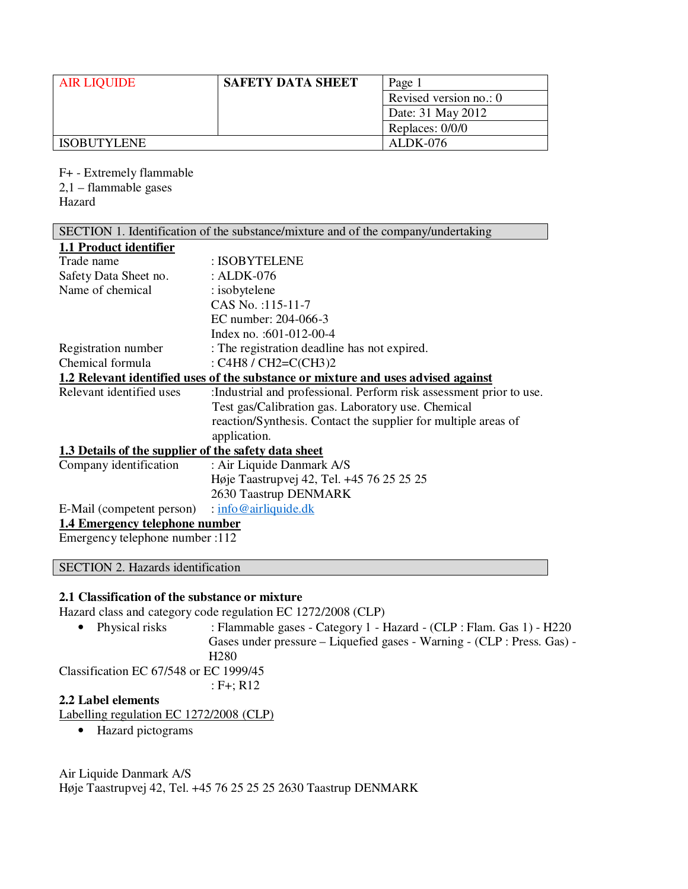| <b>AIR LIQUIDE</b> | <b>SAFETY DATA SHEET</b> | Page 1                 |
|--------------------|--------------------------|------------------------|
|                    |                          | Revised version no.: 0 |
|                    |                          | Date: 31 May 2012      |
|                    |                          | Replaces: 0/0/0        |
| <b>ISOBUTYLENE</b> |                          | ALDK-076               |

F+ - Extremely flammable 2,1 – flammable gases Hazard

| SECTION 1. Identification of the substance/mixture and of the company/undertaking |                                                                                   |  |
|-----------------------------------------------------------------------------------|-----------------------------------------------------------------------------------|--|
| 1.1 Product identifier                                                            |                                                                                   |  |
| Trade name                                                                        | : ISOBYTELENE                                                                     |  |
| Safety Data Sheet no.                                                             | : ALDK-076                                                                        |  |
| Name of chemical                                                                  | : isobytelene                                                                     |  |
|                                                                                   | CAS No.:115-11-7                                                                  |  |
|                                                                                   | EC number: 204-066-3                                                              |  |
|                                                                                   | Index no. :601-012-00-4                                                           |  |
| Registration number                                                               | : The registration deadline has not expired.                                      |  |
| Chemical formula                                                                  | : C4H8 / CH2=C(CH3)2                                                              |  |
|                                                                                   | 1.2 Relevant identified uses of the substance or mixture and uses advised against |  |
| Relevant identified uses                                                          | : Industrial and professional. Perform risk assessment prior to use.              |  |
|                                                                                   | Test gas/Calibration gas. Laboratory use. Chemical                                |  |
|                                                                                   | reaction/Synthesis. Contact the supplier for multiple areas of                    |  |
|                                                                                   | application.                                                                      |  |
| 1.3 Details of the supplier of the safety data sheet                              |                                                                                   |  |
| Company identification                                                            | : Air Liquide Danmark A/S                                                         |  |
|                                                                                   | Høje Taastrupvej 42, Tel. +45 76 25 25 25                                         |  |
|                                                                                   | 2630 Taastrup DENMARK                                                             |  |
| E-Mail (competent person)                                                         | : info@airliquide.dk                                                              |  |

# **1.4 Emergency telephone number**

Emergency telephone number :112

# SECTION 2. Hazards identification

### **2.1 Classification of the substance or mixture**

Hazard class and category code regulation EC 1272/2008 (CLP)

• Physical risks : Flammable gases - Category 1 - Hazard - (CLP : Flam. Gas 1) - H220 Gases under pressure – Liquefied gases - Warning - (CLP : Press. Gas) - H280 Classification EC 67/548 or EC 1999/45

: F+; R12

### **2.2 Label elements**

Labelling regulation EC 1272/2008 (CLP)

• Hazard pictograms

Air Liquide Danmark A/S Høje Taastrupvej 42, Tel. +45 76 25 25 25 2630 Taastrup DENMARK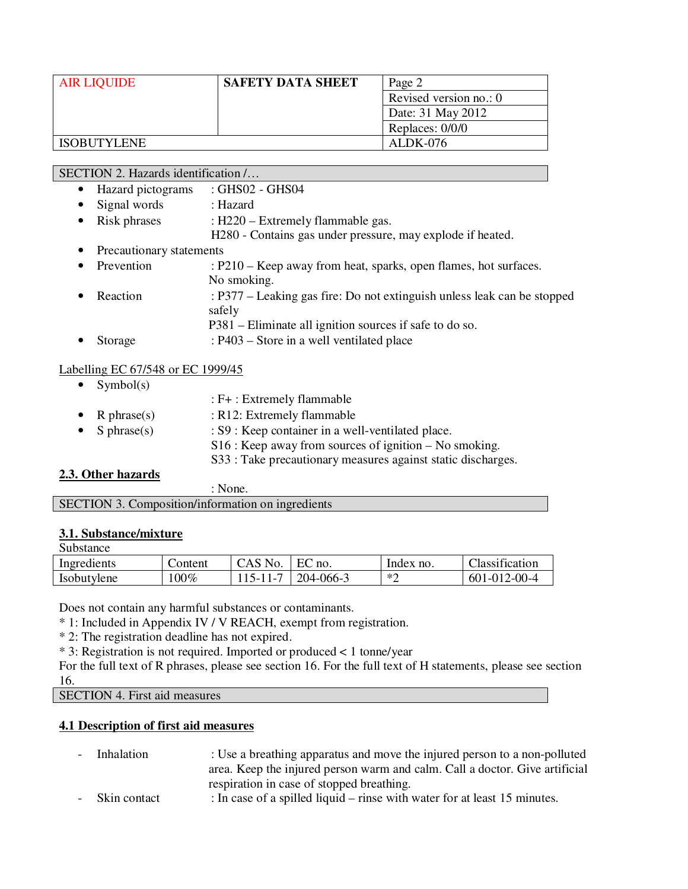| <b>AIR LIQUIDE</b> | <b>SAFETY DATA SHEET</b> | Page 2                   |
|--------------------|--------------------------|--------------------------|
|                    |                          | Revised version no.: $0$ |
|                    |                          | Date: 31 May 2012        |
|                    |                          | Replaces: 0/0/0          |
| <b>ISOBUTYLENE</b> |                          | ALDK-076                 |

SECTION 2. Hazards identification /…

- Hazard pictograms : GHS02 GHS04
- Signal words : Hazard
	- Risk phrases : H220 Extremely flammable gas.
- H280 Contains gas under pressure, may explode if heated.
- Precautionary statements
- Prevention : P210 Keep away from heat, sparks, open flames, hot surfaces. No smoking. Reaction : P377 – Leaking gas fire: Do not extinguish unless leak can be stopped safely P381 – Eliminate all ignition sources if safe to do so.
- Storage : P403 Store in a well ventilated place

### Labelling EC 67/548 or EC 1999/45

• Symbol $(s)$ 

|                    | : F+ : Extremely flammable                                   |
|--------------------|--------------------------------------------------------------|
| • R phrase(s)      | : R12: Extremely flammable                                   |
| • S phrase(s)      | : S9 : Keep container in a well-ventilated place.            |
|                    | $S16$ : Keep away from sources of ignition – No smoking.     |
|                    | S33 : Take precautionary measures against static discharges. |
| 2.3. Other hazards |                                                              |

# **2.3.**

: None.

| <b>SECTION 3. Composition/information on ingredients</b> |
|----------------------------------------------------------|
|----------------------------------------------------------|

#### **3.1. Substance/mixture** Substance

| <b>Substance</b> |         |          |                        |              |                |
|------------------|---------|----------|------------------------|--------------|----------------|
| Ingredients      | Content | CAS No.  | EC<br>$\therefore$ no. | Index no.    | Classification |
| Isobutylene      | $.00\%$ | 115-11-7 | 204-066-3              | $*^{\prime}$ | 601-012-00-4   |

Does not contain any harmful substances or contaminants.

\* 1: Included in Appendix IV / V REACH, exempt from registration.

\* 2: The registration deadline has not expired.

\* 3: Registration is not required. Imported or produced < 1 tonne/year

For the full text of R phrases, please see section 16. For the full text of H statements, please see section 16.

SECTION 4. First aid measures

# **4.1 Description of first aid measures**

- Inhalation : Use a breathing apparatus and move the injured person to a non-polluted area. Keep the injured person warm and calm. Call a doctor. Give artificial respiration in case of stopped breathing.
- Skin contact : In case of a spilled liquid rinse with water for at least 15 minutes.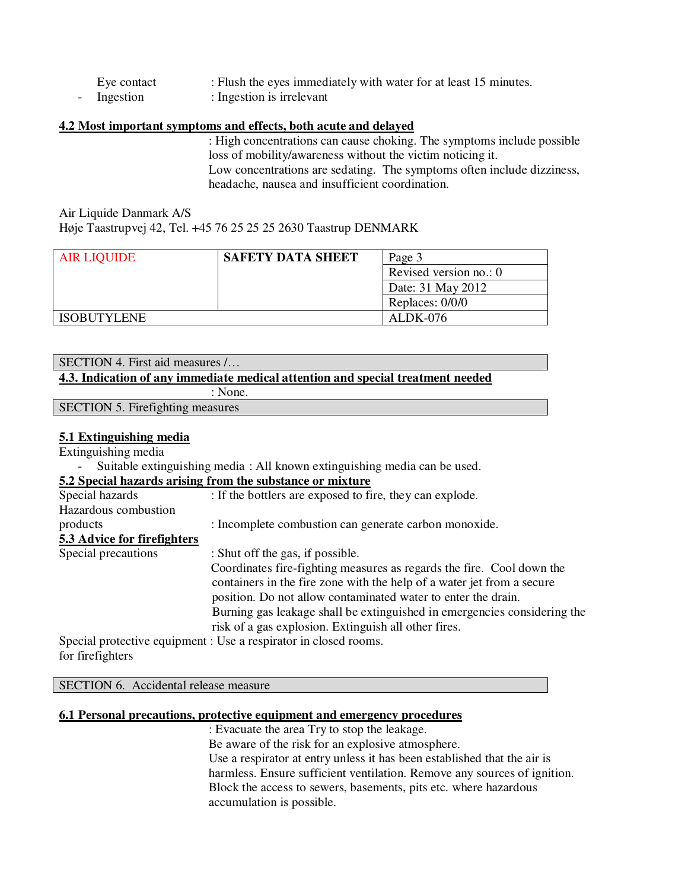- Eye contact : Flush the eyes immediately with water for at least 15 minutes.
- Ingestion : Ingestion is irrelevant

### **4.2 Most important symptoms and effects, both acute and delayed**

: High concentrations can cause choking. The symptoms include possible loss of mobility/awareness without the victim noticing it. Low concentrations are sedating. The symptoms often include dizziness, headache, nausea and insufficient coordination.

Air Liquide Danmark A/S Høje Taastrupvej 42, Tel. +45 76 25 25 25 2630 Taastrup DENMARK

| <b>AIR LIQUIDE</b> | <b>SAFETY DATA SHEET</b> | Page 3                 |
|--------------------|--------------------------|------------------------|
|                    |                          | Revised version no.: 0 |
|                    |                          | Date: 31 May 2012      |
|                    |                          | Replaces: 0/0/0        |
| <b>ISOBUTYLENE</b> |                          | ALDK-076               |

| SECTION 4. First aid measures /                                                 |
|---------------------------------------------------------------------------------|
| 4.3. Indication of any immediate medical attention and special treatment needed |
| : None.                                                                         |
| <b>SECTION 5. Firefighting measures</b>                                         |

### **5.1 Extinguishing media**

Extinguishing media

- Suitable extinguishing media : All known extinguishing media can be used.

### **5.2 Special hazards arising from the substance or mixture**

| Special hazards             | : If the bottlers are exposed to fire, they can explode.                 |
|-----------------------------|--------------------------------------------------------------------------|
| Hazardous combustion        |                                                                          |
| products                    | : Incomplete combustion can generate carbon monoxide.                    |
| 5.3 Advice for firefighters |                                                                          |
| Special precautions         | : Shut off the gas, if possible.                                         |
|                             | Coordinates fire-fighting measures as regards the fire. Cool down the    |
|                             | containers in the fire zone with the help of a water jet from a secure   |
|                             | position. Do not allow contaminated water to enter the drain.            |
|                             | Burning gas leakage shall be extinguished in emergencies considering the |
|                             | risk of a gas explosion. Extinguish all other fires.                     |
|                             | Special protective equipment : Use a respirator in closed rooms.         |

for firefighters

SECTION 6. Accidental release measure

### **6.1 Personal precautions, protective equipment and emergency procedures**

: Evacuate the area Try to stop the leakage. Be aware of the risk for an explosive atmosphere. Use a respirator at entry unless it has been established that the air is harmless. Ensure sufficient ventilation. Remove any sources of ignition. Block the access to sewers, basements, pits etc. where hazardous accumulation is possible.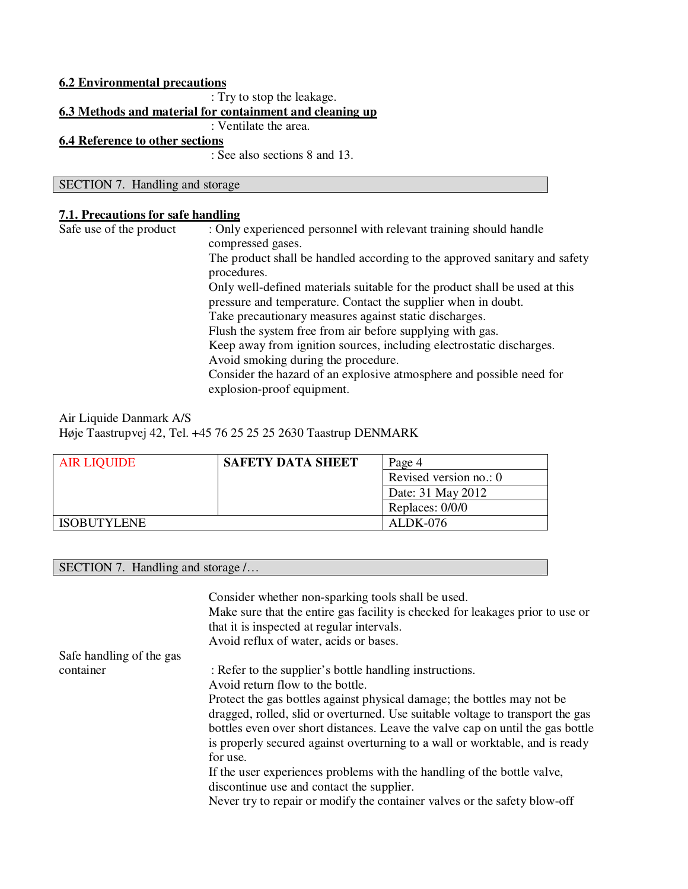# **6.2 Environmental precautions** : Try to stop the leakage. **6.3 Methods and material for containment and cleaning up** : Ventilate the area. **6.4 Reference to other sections** : See also sections 8 and 13.

SECTION 7. Handling and storage

### **7.1. Precautions for safe handling**

| The product shall be handled according to the approved sanitary and safety |
|----------------------------------------------------------------------------|
| Only well-defined materials suitable for the product shall be used at this |
| pressure and temperature. Contact the supplier when in doubt.              |
| Take precautionary measures against static discharges.                     |
| Flush the system free from air before supplying with gas.                  |
| Keep away from ignition sources, including electrostatic discharges.       |
|                                                                            |
| Consider the hazard of an explosive atmosphere and possible need for       |
|                                                                            |

### Air Liquide Danmark A/S Høje Taastrupvej 42, Tel. +45 76 25 25 25 2630 Taastrup DENMARK

| <b>AIR LIQUIDE</b> | <b>SAFETY DATA SHEET</b> | Page 4                 |
|--------------------|--------------------------|------------------------|
|                    |                          | Revised version no.: 0 |
|                    |                          | Date: 31 May 2012      |
|                    |                          | Replaces: 0/0/0        |
| <b>ISOBUTYLENE</b> |                          | ALDK-076               |

SECTION 7. Handling and storage /...

|                          | Consider whether non-sparking tools shall be used.<br>Make sure that the entire gas facility is checked for leakages prior to use or<br>that it is inspected at regular intervals.<br>Avoid reflux of water, acids or bases. |
|--------------------------|------------------------------------------------------------------------------------------------------------------------------------------------------------------------------------------------------------------------------|
| Safe handling of the gas |                                                                                                                                                                                                                              |
| container                | : Refer to the supplier's bottle handling instructions.                                                                                                                                                                      |
|                          | Avoid return flow to the bottle.                                                                                                                                                                                             |
|                          | Protect the gas bottles against physical damage; the bottles may not be                                                                                                                                                      |
|                          | dragged, rolled, slid or overturned. Use suitable voltage to transport the gas                                                                                                                                               |
|                          | bottles even over short distances. Leave the valve cap on until the gas bottle                                                                                                                                               |
|                          | is properly secured against overturning to a wall or worktable, and is ready                                                                                                                                                 |
|                          | for use.                                                                                                                                                                                                                     |
|                          | If the user experiences problems with the handling of the bottle valve,                                                                                                                                                      |
|                          | discontinue use and contact the supplier.                                                                                                                                                                                    |
|                          | Never try to repair or modify the container valves or the safety blow-off                                                                                                                                                    |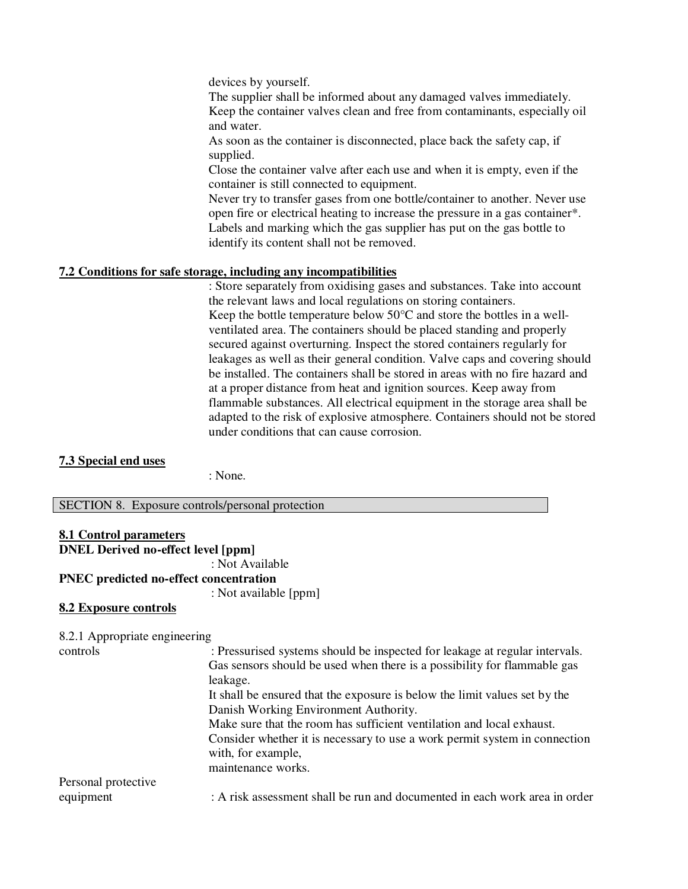devices by yourself.

The supplier shall be informed about any damaged valves immediately. Keep the container valves clean and free from contaminants, especially oil and water.

As soon as the container is disconnected, place back the safety cap, if supplied.

Close the container valve after each use and when it is empty, even if the container is still connected to equipment.

Never try to transfer gases from one bottle/container to another. Never use open fire or electrical heating to increase the pressure in a gas container\*. Labels and marking which the gas supplier has put on the gas bottle to identify its content shall not be removed.

# **7.2 Conditions for safe storage, including any incompatibilities**

: Store separately from oxidising gases and substances. Take into account the relevant laws and local regulations on storing containers. Keep the bottle temperature below 50°C and store the bottles in a wellventilated area. The containers should be placed standing and properly secured against overturning. Inspect the stored containers regularly for leakages as well as their general condition. Valve caps and covering should be installed. The containers shall be stored in areas with no fire hazard and at a proper distance from heat and ignition sources. Keep away from flammable substances. All electrical equipment in the storage area shall be adapted to the risk of explosive atmosphere. Containers should not be stored under conditions that can cause corrosion.

### **7.3 Special end uses**

: None.

SECTION 8. Exposure controls/personal protection

| <b>8.1 Control parameters</b>                 |                       |  |
|-----------------------------------------------|-----------------------|--|
| <b>DNEL Derived no-effect level [ppm]</b>     |                       |  |
|                                               | : Not Available       |  |
| <b>PNEC</b> predicted no-effect concentration |                       |  |
|                                               | : Not available [ppm] |  |
| 8.2 Exposure controls                         |                       |  |
|                                               |                       |  |
| 8.2.1 Appropriate engineering                 |                       |  |

| : Pressurised systems should be inspected for leakage at regular intervals.<br>Gas sensors should be used when there is a possibility for flammable gas |
|---------------------------------------------------------------------------------------------------------------------------------------------------------|
|                                                                                                                                                         |
|                                                                                                                                                         |
|                                                                                                                                                         |
|                                                                                                                                                         |
| Consider whether it is necessary to use a work permit system in connection                                                                              |
|                                                                                                                                                         |
|                                                                                                                                                         |
| : A risk assessment shall be run and documented in each work area in order                                                                              |
|                                                                                                                                                         |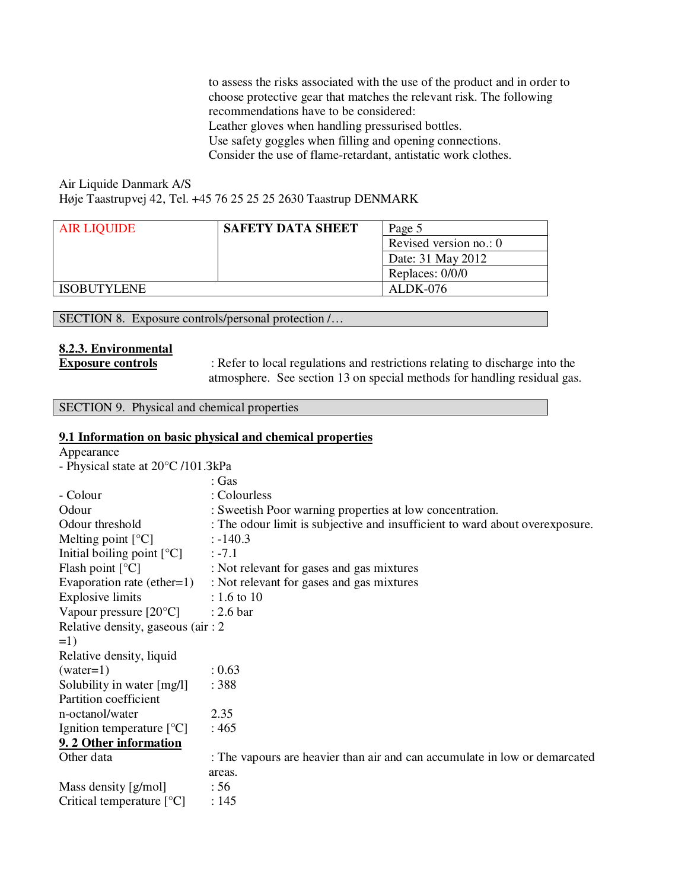to assess the risks associated with the use of the product and in order to choose protective gear that matches the relevant risk. The following recommendations have to be considered: Leather gloves when handling pressurised bottles. Use safety goggles when filling and opening connections. Consider the use of flame-retardant, antistatic work clothes.

Air Liquide Danmark A/S Høje Taastrupvej 42, Tel. +45 76 25 25 25 2630 Taastrup DENMARK

| <b>AIR LIQUIDE</b> | <b>SAFETY DATA SHEET</b> | Page 5                 |
|--------------------|--------------------------|------------------------|
|                    |                          | Revised version no.: 0 |
|                    |                          | Date: 31 May 2012      |
|                    |                          | Replaces: 0/0/0        |
| <b>ISOBUTYLENE</b> |                          | ALDK-076               |
|                    |                          |                        |

SECTION 8. Exposure controls/personal protection /…

### **8.2.3. Environmental**

**Exposure controls** : Refer to local regulations and restrictions relating to discharge into the atmosphere. See section 13 on special methods for handling residual gas.

SECTION 9. Physical and chemical properties

#### **9.1 Information on basic physical and chemical properties**

| Appearance                         |                                                                              |
|------------------------------------|------------------------------------------------------------------------------|
| - Physical state at 20°C /101.3kPa |                                                                              |
|                                    | : Gas                                                                        |
| - Colour                           | : Colourless                                                                 |
| Odour                              | : Sweetish Poor warning properties at low concentration.                     |
| Odour threshold                    | : The odour limit is subjective and insufficient to ward about overexposure. |
| Melting point $[°C]$               | $: -140.3$                                                                   |
| Initial boiling point $[°C]$       | $: -7.1$                                                                     |
| Flash point $[°C]$                 | : Not relevant for gases and gas mixtures                                    |
|                                    | Evaporation rate (ether= $1$ ) : Not relevant for gases and gas mixtures     |
| <b>Explosive limits</b>            | : 1.6 to 10                                                                  |
| Vapour pressure $[20^{\circ}C]$    | $: 2.6 \text{ bar}$                                                          |
| Relative density, gaseous (air: 2) |                                                                              |
| $=1)$                              |                                                                              |
| Relative density, liquid           |                                                                              |
| $(water=1)$                        | : 0.63                                                                       |
| Solubility in water [mg/l]         | :388                                                                         |
| Partition coefficient              |                                                                              |
| n-octanol/water                    | 2.35                                                                         |
| Ignition temperature [°C]          | :465                                                                         |
| 9. 2 Other information             |                                                                              |
| Other data                         | : The vapours are heavier than air and can accumulate in low or demarcated   |
|                                    | areas.                                                                       |
| Mass density [g/mol]               | :56                                                                          |
| Critical temperature $[°C]$        | : 145                                                                        |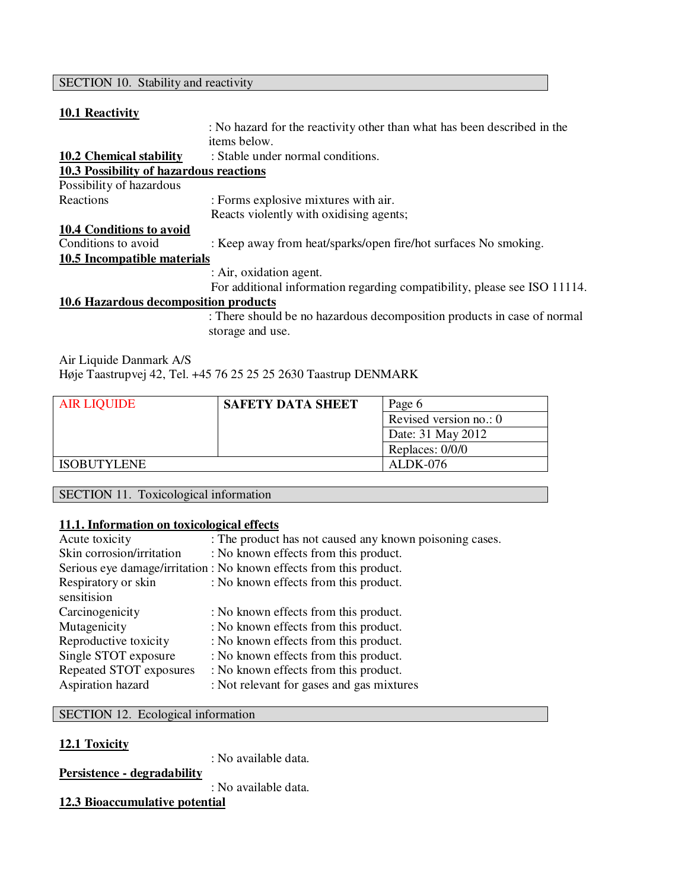# SECTION 10. Stability and reactivity

### **10.1 Reactivity**

|                                         | : No hazard for the reactivity other than what has been described in the  |
|-----------------------------------------|---------------------------------------------------------------------------|
|                                         | items below.                                                              |
| 10.2 Chemical stability                 | : Stable under normal conditions.                                         |
| 10.3 Possibility of hazardous reactions |                                                                           |
| Possibility of hazardous                |                                                                           |
| Reactions                               | : Forms explosive mixtures with air.                                      |
|                                         | Reacts violently with oxidising agents;                                   |
| <b>10.4 Conditions to avoid</b>         |                                                                           |
| Conditions to avoid                     | : Keep away from heat/sparks/open fire/hot surfaces No smoking.           |
| 10.5 Incompatible materials             |                                                                           |
|                                         | : Air, oxidation agent.                                                   |
|                                         | For additional information regarding compatibility, please see ISO 11114. |
| 10.6 Hazardous decomposition products   |                                                                           |
|                                         | : There should be no hazardous decomposition products in case of normal   |
|                                         | storage and use.                                                          |

Air Liquide Danmark A/S Høje Taastrupvej 42, Tel. +45 76 25 25 25 2630 Taastrup DENMARK

| <b>AIR LIQUIDE</b> | <b>SAFETY DATA SHEET</b> | Page 6                 |
|--------------------|--------------------------|------------------------|
|                    |                          | Revised version no.: 0 |
|                    |                          | Date: 31 May 2012      |
|                    |                          | Replaces: 0/0/0        |
| <b>ISOBUTYLENE</b> |                          | ALDK-076               |

SECTION 11. Toxicological information

# **11.1. Information on toxicological effects**

| Acute toxicity            | : The product has not caused any known poisoning cases.             |
|---------------------------|---------------------------------------------------------------------|
| Skin corrosion/irritation | : No known effects from this product.                               |
|                           | Serious eye damage/irritation : No known effects from this product. |
| Respiratory or skin       | : No known effects from this product.                               |
| sensitision               |                                                                     |
| Carcinogenicity           | : No known effects from this product.                               |
| Mutagenicity              | : No known effects from this product.                               |
| Reproductive toxicity     | : No known effects from this product.                               |
| Single STOT exposure      | : No known effects from this product.                               |
| Repeated STOT exposures   | : No known effects from this product.                               |
| Aspiration hazard         | : Not relevant for gases and gas mixtures                           |

SECTION 12. Ecological information

| 12.1 Toxicity               | : No available data. |
|-----------------------------|----------------------|
| Persistence - degradability | : No available data. |
|                             |                      |

# **12.3 Bioaccumulative potential**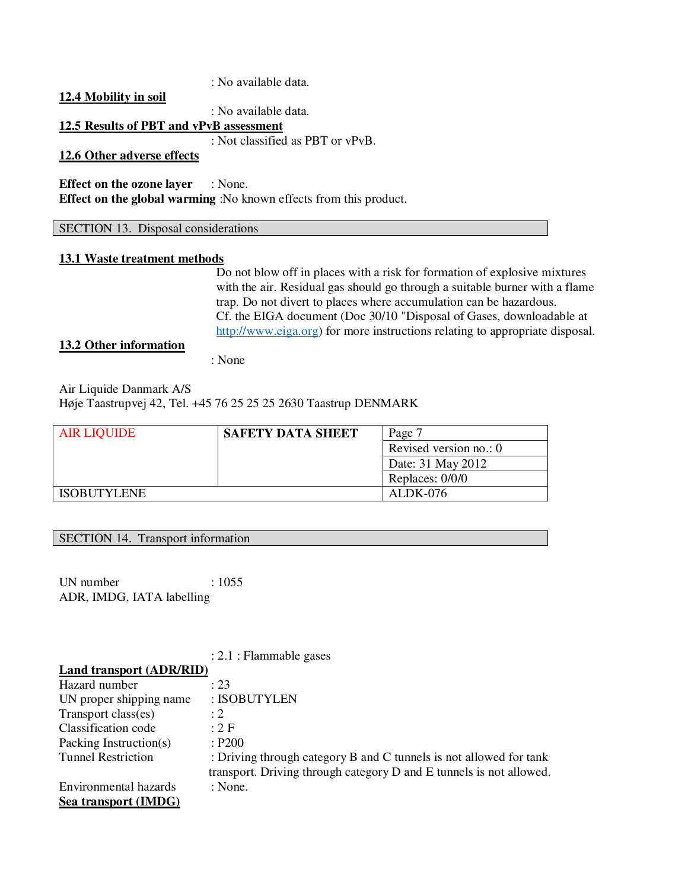### : No available data.

**12.4 Mobility in soil**

: No available data.

# **12.5 Results of PBT and vPvB assessment**

: Not classified as PBT or vPvB.

# **12.6 Other adverse effects**

**Effect on the ozone layer** : None. **Effect on the global warming**: No known effects from this product.

#### SECTION 13. Disposal considerations

### **13.1 Waste treatment methods**

Do not blow off in places with a risk for formation of explosive mixtures with the air. Residual gas should go through a suitable burner with a flame trap. Do not divert to places where accumulation can be hazardous. Cf. the EIGA document (Doc 30/10 "Disposal of Gases, downloadable at http://www.eiga.org) for more instructions relating to appropriate disposal.

### **13.2 Other information**

: None

Air Liquide Danmark A/S Høje Taastrupvej 42, Tel. +45 76 25 25 25 2630 Taastrup DENMARK

| <b>AIR LIQUIDE</b> | <b>SAFETY DATA SHEET</b> | Page 7                 |
|--------------------|--------------------------|------------------------|
|                    |                          | Revised version no.: 0 |
|                    |                          | Date: 31 May 2012      |
|                    |                          | Replaces: 0/0/0        |
| <b>ISOBUTYLENE</b> |                          | ALDK-076               |

#### SECTION 14. Transport information

UN number : 1055 ADR, IMDG, IATA labelling

: 2.1 : Flammable gases

| Land transport (ADR/RID)  |                                                                     |
|---------------------------|---------------------------------------------------------------------|
| Hazard number             | : 23                                                                |
| UN proper shipping name   | : ISOBUTYLEN                                                        |
| Transport class(es)       | $\cdot$ 2                                                           |
| Classification code       | :2F                                                                 |
| Packing Instruction(s)    | : P200                                                              |
| <b>Tunnel Restriction</b> | : Driving through category B and C tunnels is not allowed for tank  |
|                           | transport. Driving through category D and E tunnels is not allowed. |
| Environmental hazards     | : None.                                                             |
| Sea transport (IMDG)      |                                                                     |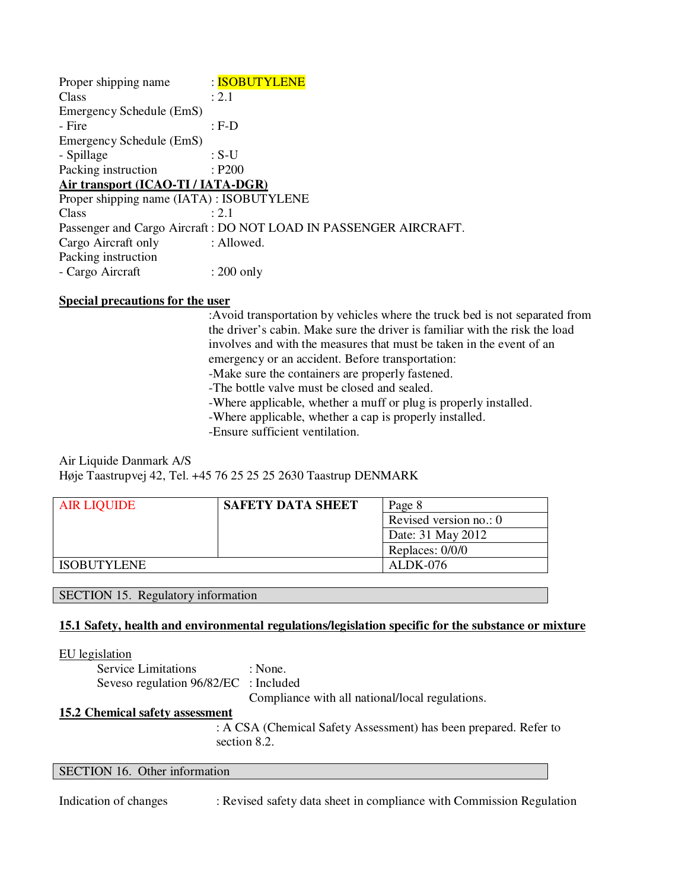| Proper shipping name                      | : ISOBUTYLENE                                                    |
|-------------------------------------------|------------------------------------------------------------------|
| Class                                     | : 2.1                                                            |
| Emergency Schedule (EmS)                  |                                                                  |
| - Fire                                    | $:$ F-D                                                          |
| Emergency Schedule (EmS)                  |                                                                  |
| - Spillage                                | : $S-U$                                                          |
| Packing instruction                       | : P200                                                           |
| Air transport (ICAO-TI / IATA-DGR)        |                                                                  |
| Proper shipping name (IATA) : ISOBUTYLENE |                                                                  |
| Class                                     | $\cdot$ 2.1                                                      |
|                                           | Passenger and Cargo Aircraft: DO NOT LOAD IN PASSENGER AIRCRAFT. |
| Cargo Aircraft only                       | : Allowed.                                                       |
| Packing instruction                       |                                                                  |
| - Cargo Aircraft                          | $: 200$ only                                                     |

### **Special precautions for the user**

:Avoid transportation by vehicles where the truck bed is not separated from the driver's cabin. Make sure the driver is familiar with the risk the load involves and with the measures that must be taken in the event of an emergency or an accident. Before transportation:

-Make sure the containers are properly fastened.

-The bottle valve must be closed and sealed.

-Where applicable, whether a muff or plug is properly installed.

-Where applicable, whether a cap is properly installed.

-Ensure sufficient ventilation.

# Air Liquide Danmark A/S Høje Taastrupvej 42, Tel. +45 76 25 25 25 2630 Taastrup DENMARK

| <b>AIR LIQUIDE</b> | <b>SAFETY DATA SHEET</b> | Page 8                 |
|--------------------|--------------------------|------------------------|
|                    |                          | Revised version no.: 0 |
|                    |                          | Date: 31 May 2012      |
|                    |                          | Replaces: 0/0/0        |
| <b>ISOBUTYLENE</b> |                          | ALDK-076               |

SECTION 15. Regulatory information

### **15.1 Safety, health and environmental regulations/legislation specific for the substance or mixture**

#### EU legislation

| <b>Service Limitations</b>            | : None.                                         |
|---------------------------------------|-------------------------------------------------|
| Seveso regulation 96/82/EC : Included |                                                 |
|                                       | Compliance with all national/local regulations. |

### **15.2 Chemical safety assessment**

 : A CSA (Chemical Safety Assessment) has been prepared. Refer to section 8.2.

### SECTION 16. Other information

Indication of changes : Revised safety data sheet in compliance with Commission Regulation